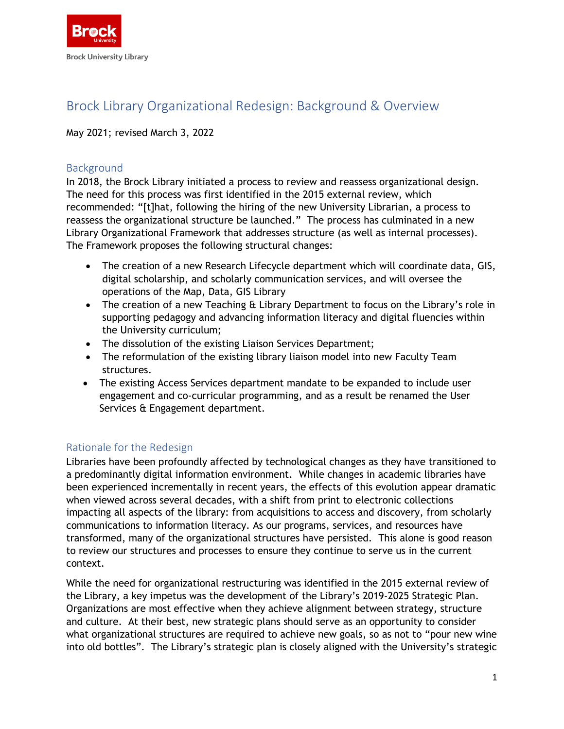

# Brock Library Organizational Redesign: Background & Overview

#### May 2021; revised March 3, 2022

### **Background**

In 2018, the Brock Library initiated a process to review and reassess organizational design. The need for this process was first identified in the 2015 external review, which recommended: "[t]hat, following the hiring of the new University Librarian, a process to reassess the organizational structure be launched." The process has culminated in a new Library Organizational Framework that addresses structure (as well as internal processes). The Framework proposes the following structural changes:

- The creation of a new Research Lifecycle department which will coordinate data, GIS, digital scholarship, and scholarly communication services, and will oversee the operations of the Map, Data, GIS Library
- The creation of a new Teaching & Library Department to focus on the Library's role in supporting pedagogy and advancing information literacy and digital fluencies within the University curriculum;
- The dissolution of the existing Liaison Services Department;
- The reformulation of the existing library liaison model into new Faculty Team structures.
- The existing Access Services department mandate to be expanded to include user engagement and co-curricular programming, and as a result be renamed the User Services & Engagement department.

## Rationale for the Redesign

Libraries have been profoundly affected by technological changes as they have transitioned to a predominantly digital information environment. While changes in academic libraries have been experienced incrementally in recent years, the effects of this evolution appear dramatic when viewed across several decades, with a shift from print to electronic collections impacting all aspects of the library: from acquisitions to access and discovery, from scholarly communications to information literacy. As our programs, services, and resources have transformed, many of the organizational structures have persisted. This alone is good reason to review our structures and processes to ensure they continue to serve us in the current context.

While the need for organizational restructuring was identified in the 2015 external review of the Library, a key impetus was the development of the Library's 2019-2025 Strategic Plan. Organizations are most effective when they achieve alignment between strategy, structure and culture. At their best, new strategic plans should serve as an opportunity to consider what organizational structures are required to achieve new goals, so as not to "pour new wine into old bottles". The Library's strategic plan is closely aligned with the University's strategic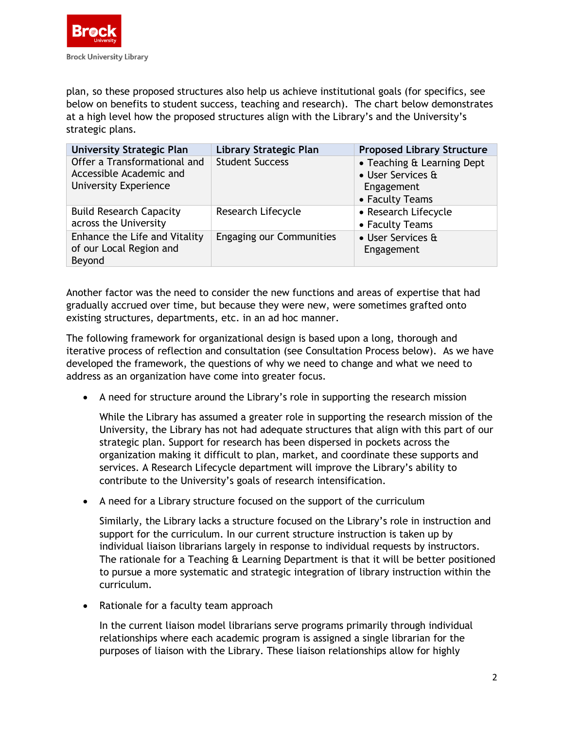

plan, so these proposed structures also help us achieve institutional goals (for specifics, see below on benefits to student success, teaching and research). The chart below demonstrates at a high level how the proposed structures align with the Library's and the University's strategic plans.

| <b>University Strategic Plan</b>                                                        | Library Strategic Plan          | <b>Proposed Library Structure</b>                                                |
|-----------------------------------------------------------------------------------------|---------------------------------|----------------------------------------------------------------------------------|
| Offer a Transformational and<br>Accessible Academic and<br><b>University Experience</b> | <b>Student Success</b>          | • Teaching & Learning Dept<br>• User Services &<br>Engagement<br>• Faculty Teams |
| <b>Build Research Capacity</b><br>across the University                                 | Research Lifecycle              | • Research Lifecycle<br>• Faculty Teams                                          |
| Enhance the Life and Vitality<br>of our Local Region and<br>Beyond                      | <b>Engaging our Communities</b> | • User Services &<br>Engagement                                                  |

Another factor was the need to consider the new functions and areas of expertise that had gradually accrued over time, but because they were new, were sometimes grafted onto existing structures, departments, etc. in an ad hoc manner.

The following framework for organizational design is based upon a long, thorough and iterative process of reflection and consultation (see Consultation Process below). As we have developed the framework, the questions of why we need to change and what we need to address as an organization have come into greater focus.

• A need for structure around the Library's role in supporting the research mission

While the Library has assumed a greater role in supporting the research mission of the University, the Library has not had adequate structures that align with this part of our strategic plan. Support for research has been dispersed in pockets across the organization making it difficult to plan, market, and coordinate these supports and services. A Research Lifecycle department will improve the Library's ability to contribute to the University's goals of research intensification.

• A need for a Library structure focused on the support of the curriculum

Similarly, the Library lacks a structure focused on the Library's role in instruction and support for the curriculum. In our current structure instruction is taken up by individual liaison librarians largely in response to individual requests by instructors. The rationale for a Teaching & Learning Department is that it will be better positioned to pursue a more systematic and strategic integration of library instruction within the curriculum.

• Rationale for a faculty team approach

In the current liaison model librarians serve programs primarily through individual relationships where each academic program is assigned a single librarian for the purposes of liaison with the Library. These liaison relationships allow for highly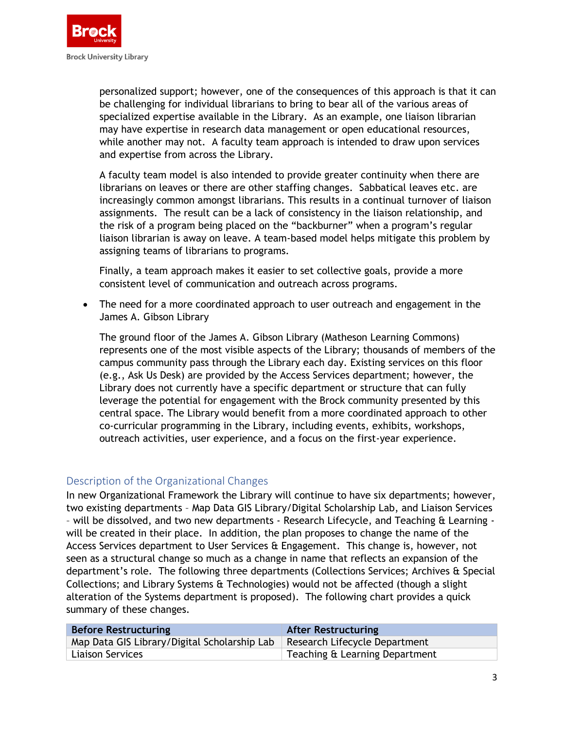

personalized support; however, one of the consequences of this approach is that it can be challenging for individual librarians to bring to bear all of the various areas of specialized expertise available in the Library. As an example, one liaison librarian may have expertise in research data management or open educational resources, while another may not. A faculty team approach is intended to draw upon services and expertise from across the Library.

A faculty team model is also intended to provide greater continuity when there are librarians on leaves or there are other staffing changes. Sabbatical leaves etc. are increasingly common amongst librarians. This results in a continual turnover of liaison assignments. The result can be a lack of consistency in the liaison relationship, and the risk of a program being placed on the "backburner" when a program's regular liaison librarian is away on leave. A team-based model helps mitigate this problem by assigning teams of librarians to programs.

Finally, a team approach makes it easier to set collective goals, provide a more consistent level of communication and outreach across programs.

• The need for a more coordinated approach to user outreach and engagement in the James A. Gibson Library

The ground floor of the James A. Gibson Library (Matheson Learning Commons) represents one of the most visible aspects of the Library; thousands of members of the campus community pass through the Library each day. Existing services on this floor (e.g., Ask Us Desk) are provided by the Access Services department; however, the Library does not currently have a specific department or structure that can fully leverage the potential for engagement with the Brock community presented by this central space. The Library would benefit from a more coordinated approach to other co-curricular programming in the Library, including events, exhibits, workshops, outreach activities, user experience, and a focus on the first-year experience.

## Description of the Organizational Changes

In new Organizational Framework the Library will continue to have six departments; however, two existing departments – Map Data GIS Library/Digital Scholarship Lab, and Liaison Services - will be dissolved, and two new departments - Research Lifecycle, and Teaching & Learning will be created in their place. In addition, the plan proposes to change the name of the Access Services department to User Services & Engagement. This change is, however, not seen as a structural change so much as a change in name that reflects an expansion of the department's role. The following three departments (Collections Services; Archives & Special Collections; and Library Systems & Technologies) would not be affected (though a slight alteration of the Systems department is proposed). The following chart provides a quick summary of these changes.

| <b>Before Restructuring</b>                                                  | <b>After Restructuring</b>     |
|------------------------------------------------------------------------------|--------------------------------|
| Map Data GIS Library/Digital Scholarship Lab   Research Lifecycle Department |                                |
| <b>Liaison Services</b>                                                      | Teaching & Learning Department |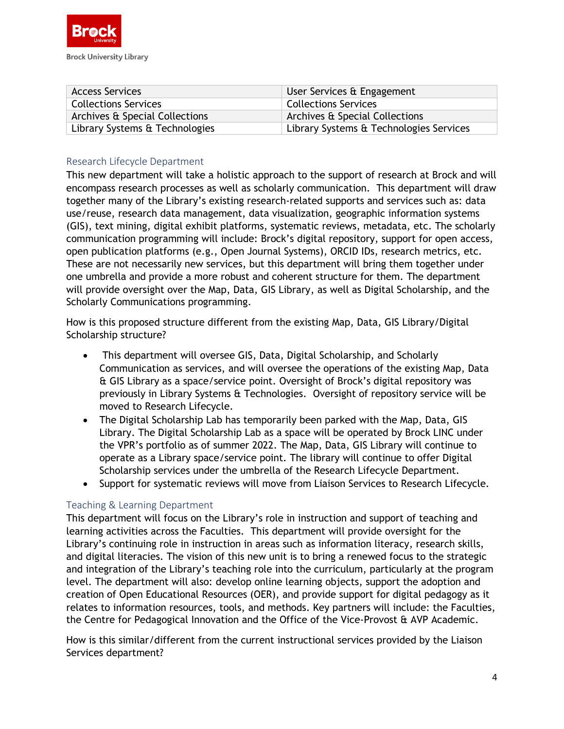

| <b>Access Services</b>         | User Services & Engagement              |
|--------------------------------|-----------------------------------------|
| <b>Collections Services</b>    | <b>Collections Services</b>             |
| Archives & Special Collections | Archives & Special Collections          |
| Library Systems & Technologies | Library Systems & Technologies Services |

## Research Lifecycle Department

This new department will take a holistic approach to the support of research at Brock and will encompass research processes as well as scholarly communication. This department will draw together many of the Library's existing research-related supports and services such as: data use/reuse, research data management, data visualization, geographic information systems (GIS), text mining, digital exhibit platforms, systematic reviews, metadata, etc. The scholarly communication programming will include: Brock's digital repository, support for open access, open publication platforms (e.g., Open Journal Systems), ORCID IDs, research metrics, etc. These are not necessarily new services, but this department will bring them together under one umbrella and provide a more robust and coherent structure for them. The department will provide oversight over the Map, Data, GIS Library, as well as Digital Scholarship, and the Scholarly Communications programming.

How is this proposed structure different from the existing Map, Data, GIS Library/Digital Scholarship structure?

- This department will oversee GIS, Data, Digital Scholarship, and Scholarly Communication as services, and will oversee the operations of the existing Map, Data & GIS Library as a space/service point. Oversight of Brock's digital repository was previously in Library Systems & Technologies. Oversight of repository service will be moved to Research Lifecycle.
- The Digital Scholarship Lab has temporarily been parked with the Map, Data, GIS Library. The Digital Scholarship Lab as a space will be operated by Brock LINC under the VPR's portfolio as of summer 2022. The Map, Data, GIS Library will continue to operate as a Library space/service point. The library will continue to offer Digital Scholarship services under the umbrella of the Research Lifecycle Department.
- Support for systematic reviews will move from Liaison Services to Research Lifecycle.

#### Teaching & Learning Department

This department will focus on the Library's role in instruction and support of teaching and learning activities across the Faculties. This department will provide oversight for the Library's continuing role in instruction in areas such as information literacy, research skills, and digital literacies. The vision of this new unit is to bring a renewed focus to the strategic and integration of the Library's teaching role into the curriculum, particularly at the program level. The department will also: develop online learning objects, support the adoption and creation of Open Educational Resources (OER), and provide support for digital pedagogy as it relates to information resources, tools, and methods. Key partners will include: the Faculties, the Centre for Pedagogical Innovation and the Office of the Vice-Provost & AVP Academic.

How is this similar/different from the current instructional services provided by the Liaison Services department?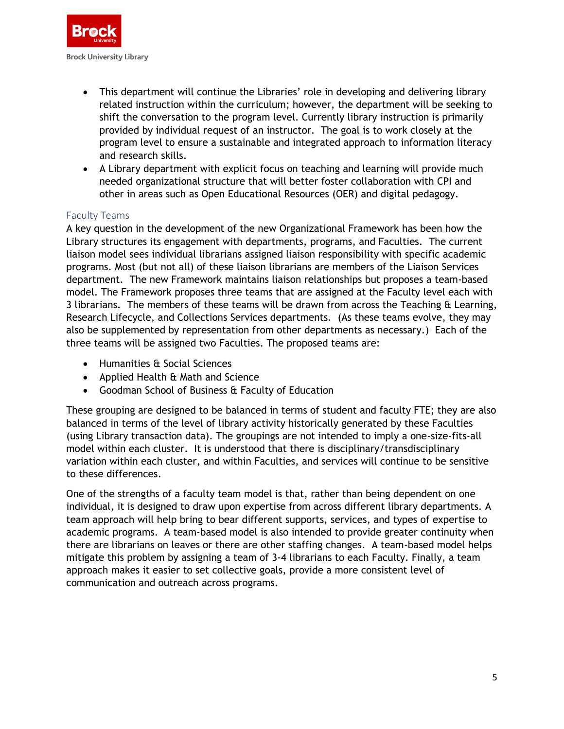

- This department will continue the Libraries' role in developing and delivering library related instruction within the curriculum; however, the department will be seeking to shift the conversation to the program level. Currently library instruction is primarily provided by individual request of an instructor. The goal is to work closely at the program level to ensure a sustainable and integrated approach to information literacy and research skills.
- A Library department with explicit focus on teaching and learning will provide much needed organizational structure that will better foster collaboration with CPI and other in areas such as Open Educational Resources (OER) and digital pedagogy.

#### Faculty Teams

A key question in the development of the new Organizational Framework has been how the Library structures its engagement with departments, programs, and Faculties. The current liaison model sees individual librarians assigned liaison responsibility with specific academic programs. Most (but not all) of these liaison librarians are members of the Liaison Services department. The new Framework maintains liaison relationships but proposes a team-based model. The Framework proposes three teams that are assigned at the Faculty level each with 3 librarians. The members of these teams will be drawn from across the Teaching & Learning, Research Lifecycle, and Collections Services departments. (As these teams evolve, they may also be supplemented by representation from other departments as necessary.) Each of the three teams will be assigned two Faculties. The proposed teams are:

- Humanities & Social Sciences
- Applied Health & Math and Science
- Goodman School of Business & Faculty of Education

These grouping are designed to be balanced in terms of student and faculty FTE; they are also balanced in terms of the level of library activity historically generated by these Faculties (using Library transaction data). The groupings are not intended to imply a one-size-fits-all model within each cluster. It is understood that there is disciplinary/transdisciplinary variation within each cluster, and within Faculties, and services will continue to be sensitive to these differences.

One of the strengths of a faculty team model is that, rather than being dependent on one individual, it is designed to draw upon expertise from across different library departments. A team approach will help bring to bear different supports, services, and types of expertise to academic programs. A team-based model is also intended to provide greater continuity when there are librarians on leaves or there are other staffing changes. A team-based model helps mitigate this problem by assigning a team of 3-4 librarians to each Faculty. Finally, a team approach makes it easier to set collective goals, provide a more consistent level of communication and outreach across programs.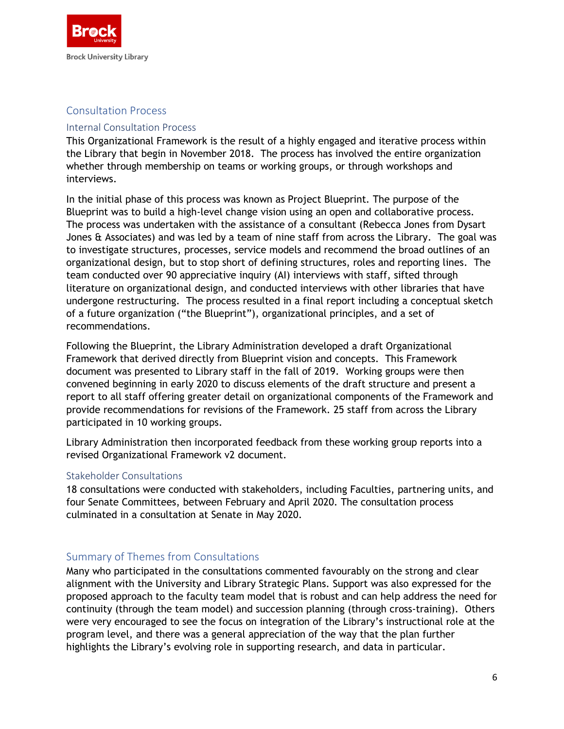

## Consultation Process

#### Internal Consultation Process

This Organizational Framework is the result of a highly engaged and iterative process within the Library that begin in November 2018. The process has involved the entire organization whether through membership on teams or working groups, or through workshops and interviews.

In the initial phase of this process was known as Project Blueprint*.* The purpose of the Blueprint was to build a high-level change vision using an open and collaborative process. The process was undertaken with the assistance of a consultant (Rebecca Jones from Dysart Jones & Associates) and was led by a team of nine staff from across the Library. The goal was to investigate structures, processes, service models and recommend the broad outlines of an organizational design, but to stop short of defining structures, roles and reporting lines. The team conducted over 90 appreciative inquiry (AI) interviews with staff, sifted through literature on organizational design, and conducted interviews with other libraries that have undergone restructuring. The process resulted in a final report including a conceptual sketch of a future organization ("the Blueprint"), organizational principles, and a set of recommendations.

Following the Blueprint, the Library Administration developed a draft Organizational Framework that derived directly from Blueprint vision and concepts. This Framework document was presented to Library staff in the fall of 2019. Working groups were then convened beginning in early 2020 to discuss elements of the draft structure and present a report to all staff offering greater detail on organizational components of the Framework and provide recommendations for revisions of the Framework. 25 staff from across the Library participated in 10 working groups.

Library Administration then incorporated feedback from these working group reports into a revised Organizational Framework v2 document.

#### Stakeholder Consultations

18 consultations were conducted with stakeholders, including Faculties, partnering units, and four Senate Committees, between February and April 2020. The consultation process culminated in a consultation at Senate in May 2020.

## Summary of Themes from Consultations

Many who participated in the consultations commented favourably on the strong and clear alignment with the University and Library Strategic Plans. Support was also expressed for the proposed approach to the faculty team model that is robust and can help address the need for continuity (through the team model) and succession planning (through cross-training). Others were very encouraged to see the focus on integration of the Library's instructional role at the program level, and there was a general appreciation of the way that the plan further highlights the Library's evolving role in supporting research, and data in particular.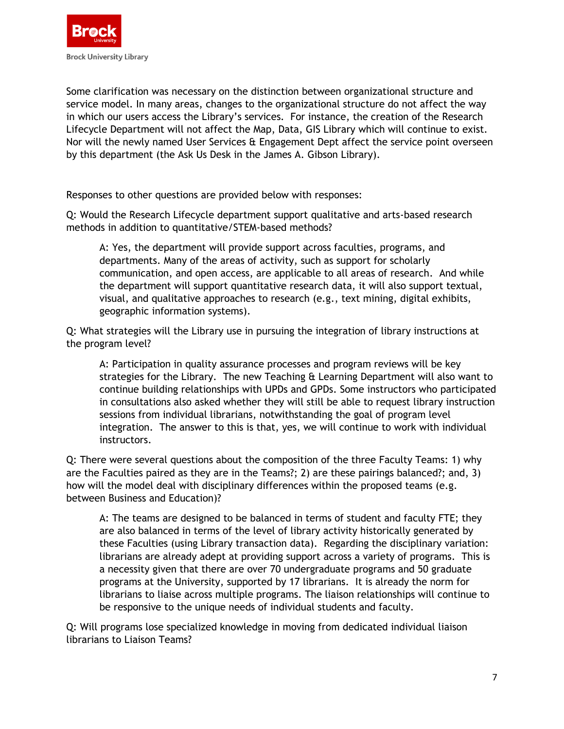

Some clarification was necessary on the distinction between organizational structure and service model. In many areas, changes to the organizational structure do not affect the way in which our users access the Library's services. For instance, the creation of the Research Lifecycle Department will not affect the Map, Data, GIS Library which will continue to exist. Nor will the newly named User Services & Engagement Dept affect the service point overseen by this department (the Ask Us Desk in the James A. Gibson Library).

Responses to other questions are provided below with responses:

Q: Would the Research Lifecycle department support qualitative and arts-based research methods in addition to quantitative/STEM-based methods?

A: Yes, the department will provide support across faculties, programs, and departments. Many of the areas of activity, such as support for scholarly communication, and open access, are applicable to all areas of research. And while the department will support quantitative research data, it will also support textual, visual, and qualitative approaches to research (e.g., text mining, digital exhibits, geographic information systems).

Q: What strategies will the Library use in pursuing the integration of library instructions at the program level?

A: Participation in quality assurance processes and program reviews will be key strategies for the Library. The new Teaching & Learning Department will also want to continue building relationships with UPDs and GPDs. Some instructors who participated in consultations also asked whether they will still be able to request library instruction sessions from individual librarians, notwithstanding the goal of program level integration. The answer to this is that, yes, we will continue to work with individual instructors.

Q: There were several questions about the composition of the three Faculty Teams: 1) why are the Faculties paired as they are in the Teams?; 2) are these pairings balanced?; and, 3) how will the model deal with disciplinary differences within the proposed teams (e.g. between Business and Education)?

A: The teams are designed to be balanced in terms of student and faculty FTE; they are also balanced in terms of the level of library activity historically generated by these Faculties (using Library transaction data). Regarding the disciplinary variation: librarians are already adept at providing support across a variety of programs. This is a necessity given that there are over 70 undergraduate programs and 50 graduate programs at the University, supported by 17 librarians. It is already the norm for librarians to liaise across multiple programs. The liaison relationships will continue to be responsive to the unique needs of individual students and faculty.

Q: Will programs lose specialized knowledge in moving from dedicated individual liaison librarians to Liaison Teams?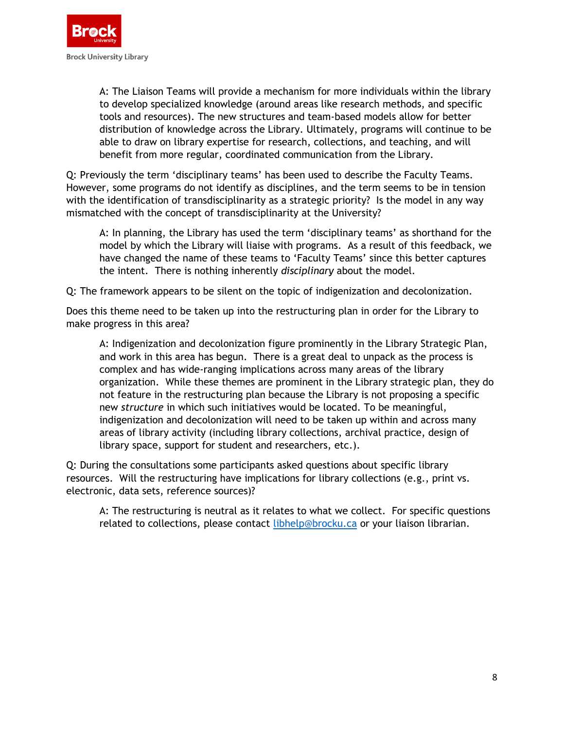

A: The Liaison Teams will provide a mechanism for more individuals within the library to develop specialized knowledge (around areas like research methods, and specific tools and resources). The new structures and team-based models allow for better distribution of knowledge across the Library. Ultimately, programs will continue to be able to draw on library expertise for research, collections, and teaching, and will benefit from more regular, coordinated communication from the Library.

Q: Previously the term 'disciplinary teams' has been used to describe the Faculty Teams. However, some programs do not identify as disciplines, and the term seems to be in tension with the identification of transdisciplinarity as a strategic priority? Is the model in any way mismatched with the concept of transdisciplinarity at the University?

A: In planning, the Library has used the term 'disciplinary teams' as shorthand for the model by which the Library will liaise with programs. As a result of this feedback, we have changed the name of these teams to 'Faculty Teams' since this better captures the intent. There is nothing inherently *disciplinary* about the model.

Q: The framework appears to be silent on the topic of indigenization and decolonization.

Does this theme need to be taken up into the restructuring plan in order for the Library to make progress in this area?

A: Indigenization and decolonization figure prominently in the Library Strategic Plan, and work in this area has begun. There is a great deal to unpack as the process is complex and has wide-ranging implications across many areas of the library organization. While these themes are prominent in the Library strategic plan, they do not feature in the restructuring plan because the Library is not proposing a specific new *structure* in which such initiatives would be located. To be meaningful, indigenization and decolonization will need to be taken up within and across many areas of library activity (including library collections, archival practice, design of library space, support for student and researchers, etc.).

Q: During the consultations some participants asked questions about specific library resources. Will the restructuring have implications for library collections (e.g., print vs. electronic, data sets, reference sources)?

A: The restructuring is neutral as it relates to what we collect. For specific questions related to collections, please contact [libhelp@brocku.ca](mailto:libhelp@brocku.ca) or your liaison librarian.